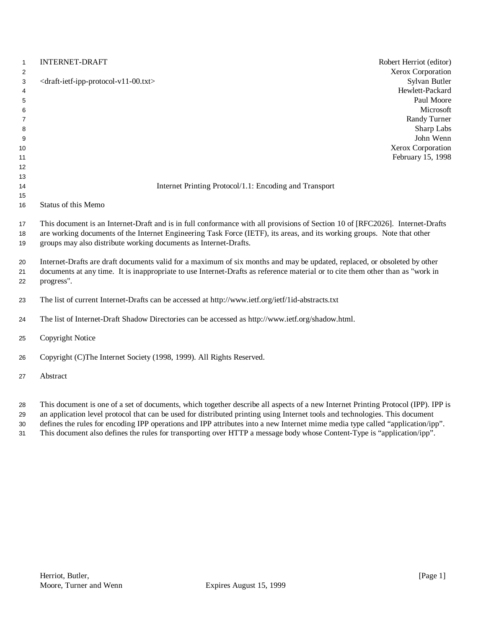| 1                                                                   | <b>INTERNET-DRAFT</b><br>Robert Herriot (editor)                                                                                                                                                                                                                                                                             |
|---------------------------------------------------------------------|------------------------------------------------------------------------------------------------------------------------------------------------------------------------------------------------------------------------------------------------------------------------------------------------------------------------------|
| $\overline{2}$<br>3<br>4<br>5<br>6<br>7<br>8<br>9<br>10<br>11<br>12 | Xerox Corporation<br>Sylvan Butler<br><draft-ietf-ipp-protocol-v11-00.txt><br/>Hewlett-Packard<br/>Paul Moore<br/>Microsoft<br/>Randy Turner<br/>Sharp Labs<br/>John Wenn<br/>Xerox Corporation<br/>February 15, 1998</draft-ietf-ipp-protocol-v11-00.txt>                                                                   |
| 13                                                                  |                                                                                                                                                                                                                                                                                                                              |
| 14                                                                  | Internet Printing Protocol/1.1: Encoding and Transport                                                                                                                                                                                                                                                                       |
| 15<br>16                                                            | Status of this Memo                                                                                                                                                                                                                                                                                                          |
| 17<br>18<br>19                                                      | This document is an Internet-Draft and is in full conformance with all provisions of Section 10 of [RFC2026]. Internet-Drafts<br>are working documents of the Internet Engineering Task Force (IETF), its areas, and its working groups. Note that other<br>groups may also distribute working documents as Internet-Drafts. |
| 20<br>21<br>22                                                      | Internet-Drafts are draft documents valid for a maximum of six months and may be updated, replaced, or obsoleted by other<br>documents at any time. It is inappropriate to use Internet-Drafts as reference material or to cite them other than as "work in<br>progress".                                                    |
| 23                                                                  | The list of current Internet-Drafts can be accessed at http://www.ietf.org/ietf/1id-abstracts.txt                                                                                                                                                                                                                            |
| 24                                                                  | The list of Internet-Draft Shadow Directories can be accessed as http://www.ietf.org/shadow.html.                                                                                                                                                                                                                            |
| 25                                                                  | Copyright Notice                                                                                                                                                                                                                                                                                                             |
| 26                                                                  | Copyright (C)The Internet Society (1998, 1999). All Rights Reserved.                                                                                                                                                                                                                                                         |
| 27                                                                  | Abstract                                                                                                                                                                                                                                                                                                                     |
| 28<br>29                                                            | This document is one of a set of documents, which together describe all aspects of a new Internet Printing Protocol (IPP). IPP is<br>an application level protocol that can be used for distributed printing using Internet tools and technologies. This document                                                            |

defines the rules for encoding IPP operations and IPP attributes into a new Internet mime media type called "application/ipp".

This document also defines the rules for transporting over HTTP a message body whose Content-Type is "application/ipp".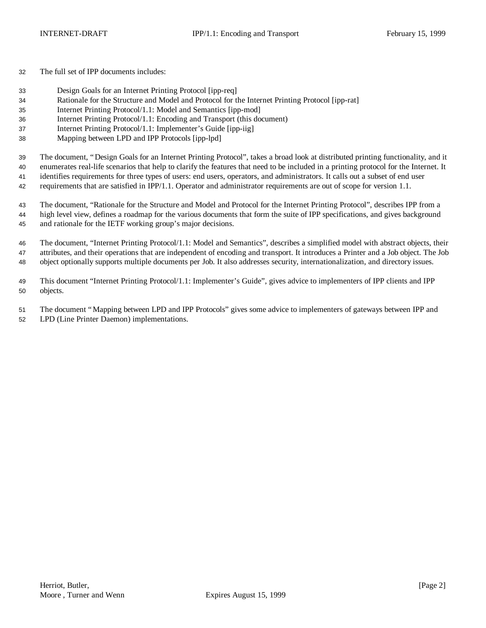The full set of IPP documents includes:

- Design Goals for an Internet Printing Protocol [ipp-req]
- Rationale for the Structure and Model and Protocol for the Internet Printing Protocol [ipp-rat]
- Internet Printing Protocol/1.1: Model and Semantics [ipp-mod]
- Internet Printing Protocol/1.1: Encoding and Transport (this document)
- Internet Printing Protocol/1.1: Implementer's Guide [ipp-iig]
- Mapping between LPD and IPP Protocols [ipp-lpd]

 The document, "Design Goals for an Internet Printing Protocol", takes a broad look at distributed printing functionality, and it enumerates real-life scenarios that help to clarify the features that need to be included in a printing protocol for the Internet. It

 identifies requirements for three types of users: end users, operators, and administrators. It calls out a subset of end user requirements that are satisfied in IPP/1.1. Operator and administrator requirements are out of scope for version 1.1.

 The document, "Rationale for the Structure and Model and Protocol for the Internet Printing Protocol", describes IPP from a high level view, defines a roadmap for the various documents that form the suite of IPP specifications, and gives background and rationale for the IETF working group's major decisions.

 The document, "Internet Printing Protocol/1.1: Model and Semantics", describes a simplified model with abstract objects, their attributes, and their operations that are independent of encoding and transport. It introduces a Printer and a Job object. The Job object optionally supports multiple documents per Job. It also addresses security, internationalization, and directory issues.

 This document "Internet Printing Protocol/1.1: Implementer's Guide", gives advice to implementers of IPP clients and IPP objects.

 The document "Mapping between LPD and IPP Protocols" gives some advice to implementers of gateways between IPP and LPD (Line Printer Daemon) implementations.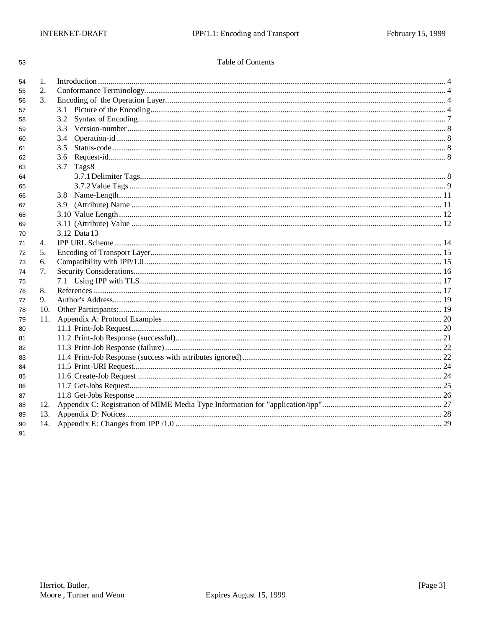| ٠        |        |
|----------|--------|
| ۰.       | I<br>I |
| v.<br>۰. | ۰.     |

### Table of Contents

| 54 | 1.  |               |  |
|----|-----|---------------|--|
| 55 | 2.  |               |  |
| 56 | 3.  |               |  |
| 57 |     |               |  |
| 58 |     | 3.2           |  |
| 59 |     | 3.3           |  |
| 60 |     | 3.4           |  |
| 61 |     | $3.5^{\circ}$ |  |
| 62 |     | $3.6^{\circ}$ |  |
| 63 |     | 3.7<br>Tags8  |  |
| 64 |     |               |  |
| 65 |     |               |  |
| 66 |     |               |  |
| 67 |     |               |  |
| 68 |     |               |  |
| 69 |     |               |  |
| 70 |     | 3.12 Data 13  |  |
| 71 | 4.  |               |  |
| 72 | 5.  |               |  |
| 73 | 6.  |               |  |
| 74 | 7.  |               |  |
| 75 |     |               |  |
| 76 | 8.  |               |  |
| 77 | 9.  |               |  |
| 78 | 10. |               |  |
| 79 | 11. |               |  |
| 80 |     |               |  |
| 81 |     |               |  |
| 82 |     |               |  |
| 83 |     |               |  |
| 84 |     |               |  |
| 85 |     |               |  |
| 86 |     |               |  |
| 87 |     |               |  |
| 88 | 12. |               |  |
| 89 | 13. |               |  |
| 90 | 14. |               |  |
| 91 |     |               |  |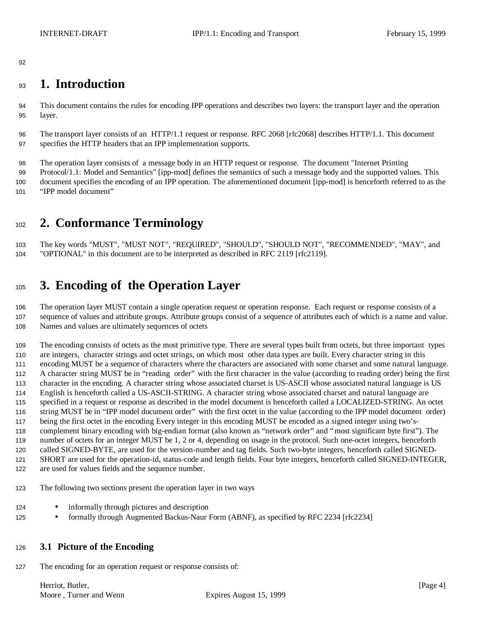# **1. Introduction**

 This document contains the rules for encoding IPP operations and describes two layers: the transport layer and the operation layer.

 The transport layer consists of an HTTP/1.1 request or response. RFC 2068 [rfc2068] describes HTTP/1.1. This document specifies the HTTP headers that an IPP implementation supports.

 The operation layer consists of a message body in an HTTP request or response. The document "Internet Printing Protocol/1.1: Model and Semantics" [ipp-mod] defines the semantics of such a message body and the supported values. This document specifies the encoding of an IPP operation. The aforementioned document [ipp-mod] is henceforth referred to as the "IPP model document"

# **2. Conformance Terminology**

 The key words "MUST", "MUST NOT", "REQUIRED", "SHOULD", "SHOULD NOT", "RECOMMENDED", "MAY", and "OPTIONAL" in this document are to be interpreted as described in RFC 2119 [rfc2119].

# **3. Encoding of the Operation Layer**

 The operation layer MUST contain a single operation request or operation response. Each request or response consists of a sequence of values and attribute groups. Attribute groups consist of a sequence of attributes each of which is a name and value. Names and values are ultimately sequences of octets

 The encoding consists of octets as the most primitive type. There are several types built from octets, but three important types are integers, character strings and octet strings, on which most other data types are built. Every character string in this encoding MUST be a sequence of characters where the characters are associated with some charset and some natural language. A character string MUST be in "reading order" with the first character in the value (according to reading order) being the first character in the encoding. A character string whose associated charset is US-ASCII whose associated natural language is US English is henceforth called a US-ASCII-STRING. A character string whose associated charset and natural language are specified in a request or response as described in the model document is henceforth called a LOCALIZED-STRING. An octet string MUST be in "IPP model document order" with the first octet in the value (according to the IPP model document order) being the first octet in the encoding Every integer in this encoding MUST be encoded as a signed integer using two's- complement binary encoding with big-endian format (also known as "network order" and "most significant byte first"). The number of octets for an integer MUST be 1, 2 or 4, depending on usage in the protocol. Such one-octet integers, henceforth called SIGNED-BYTE, are used for the version-number and tag fields. Such two-byte integers, henceforth called SIGNED- SHORT are used for the operation-id, status-code and length fields. Four byte integers, henceforth called SIGNED-INTEGER, are used for values fields and the sequence number.

- The following two sections present the operation layer in two ways
- 124 informally through pictures and description
- 125 formally through Augmented Backus-Naur Form (ABNF), as specified by RFC 2234 [rfc2234]

### **3.1 Picture of the Encoding**

The encoding for an operation request or response consists of:

Herriot, Butler, [Page 4] [Page 4] Moore, Turner and Wenn Expires August 15, 1999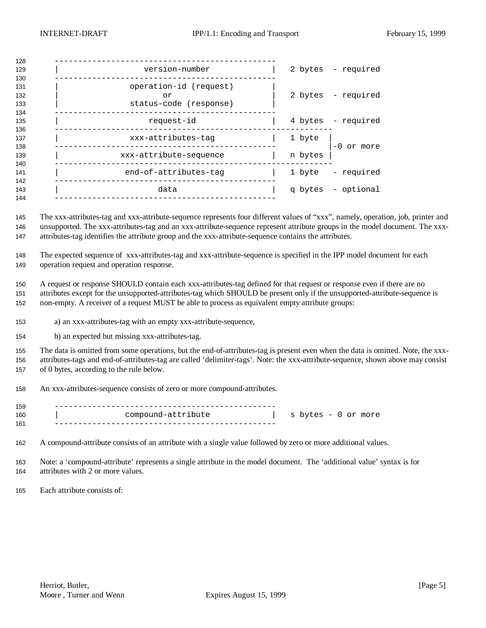| 128                      |                                                        |         |                    |
|--------------------------|--------------------------------------------------------|---------|--------------------|
| 129<br>130               | version-number                                         |         | 2 bytes - required |
| 131<br>132<br>133<br>134 | operation-id (request)<br>or<br>status-code (response) |         | 2 bytes - required |
| 135<br>136               | request-id                                             |         | 4 bytes - required |
| 137<br>138               | xxx-attributes-taq                                     | 1 byte  | $-0$ or more       |
| 139<br>140               | xxx-attribute-sequence                                 | n bytes |                    |
| 141<br>142               | end-of-attributes-tag                                  |         | 1 byte - required  |
| 143<br>144               | data                                                   |         | q bytes - optional |
|                          |                                                        |         |                    |

 The xxx-attributes-tag and xxx-attribute-sequence represents four different values of "xxx", namely, operation, job, printer and unsupported. The xxx-attributes-tag and an xxx-attribute-sequence represent attribute groups in the model document. The xxx-attributes-tag identifies the attribute group and the xxx-attribute-sequence contains the attributes.

 The expected sequence of xxx-attributes-tag and xxx-attribute-sequence is specified in the IPP model document for each operation request and operation response.

 A request or response SHOULD contain each xxx-attributes-tag defined for that request or response even if there are no attributes except for the unsupported-attributes-tag which SHOULD be present only if the unsupported-attribute-sequence is non-empty. A receiver of a request MUST be able to process as equivalent empty attribute groups:

a) an xxx-attributes-tag with an empty xxx-attribute-sequence,

b) an expected but missing xxx-attributes-tag.

 The data is omitted from some operations, but the end-of-attributes-tag is present even when the data is omitted. Note, the xxx- attributes-tags and end-of-attributes-tag are called 'delimiter-tags'. Note: the xxx-attribute-sequence, shown above may consist of 0 bytes, according to the rule below.

An xxx-attributes-sequence consists of zero or more compound-attributes.

| 159 |                    |                        |
|-----|--------------------|------------------------|
| 160 | compound-attribute | S<br>bytes - 0 or more |
| 161 |                    |                        |

A compound-attribute consists of an attribute with a single value followed by zero or more additional values.

 Note: a 'compound-attribute' represents a single attribute in the model document. The 'additional value' syntax is for attributes with 2 or more values.

Each attribute consists of: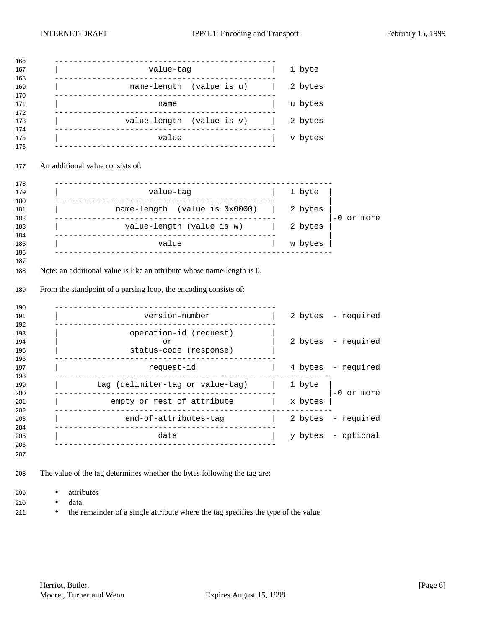| value-tag                                                                                          |                                  |         |                                                               |
|----------------------------------------------------------------------------------------------------|----------------------------------|---------|---------------------------------------------------------------|
|                                                                                                    |                                  | 1 byte  |                                                               |
| name-length (value is u)                                                                           |                                  | 2 bytes |                                                               |
| ___________________________________<br>name                                                        |                                  |         |                                                               |
| value-length (value is v)                                                                          |                                  |         |                                                               |
| value                                                                                              |                                  |         |                                                               |
|                                                                                                    |                                  |         |                                                               |
|                                                                                                    |                                  |         |                                                               |
| value-tag                                                                                          |                                  |         |                                                               |
| name-length (value is 0x0000)                                                                      |                                  |         |                                                               |
| value-length (value is w)                                                                          |                                  |         | -0 or more                                                    |
|                                                                                                    |                                  |         |                                                               |
| value<br>Note: an additional value is like an attribute whose name-length is 0.                    |                                  | w bytes |                                                               |
| From the standpoint of a parsing loop, the encoding consists of:<br>________________<br>_________. |                                  |         |                                                               |
| version-number<br>--------------                                                                   |                                  |         | 2 bytes - required                                            |
| operation-id (request)<br>or                                                                       |                                  | 2 bytes |                                                               |
| status-code (response)                                                                             |                                  |         | - required                                                    |
| request-id                                                                                         |                                  |         | 4 bytes - required                                            |
| tag (delimiter-tag or value-tag)                                                                   |                                  | 1 byte  |                                                               |
| <u>.</u> .<br>empty or rest of attribute                                                           |                                  | x bytes | -0 or more                                                    |
| end-of-attributes-tag<br>_______________________________                                           |                                  |         | 2 bytes - required                                            |
|                                                                                                    | An additional value consists of: |         | u bytes<br>2 bytes<br>v bytes<br>1 byte<br>2 bytes<br>2 bytes |

- The value of the tag determines whether the bytes following the tag are:
- attributes
- data
- 211 the remainder of a single attribute where the tag specifies the type of the value.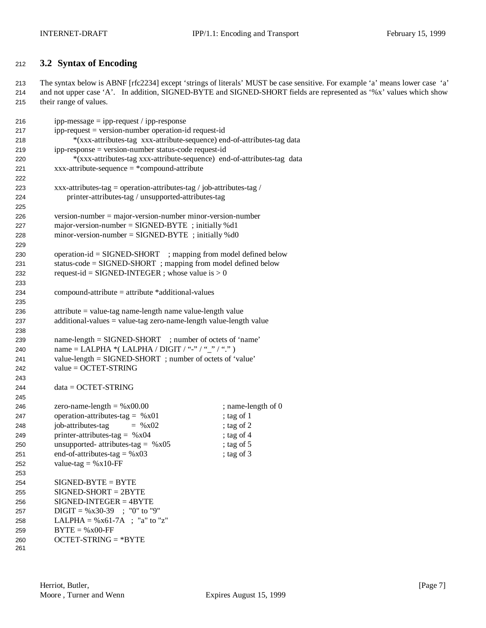### **3.2 Syntax of Encoding**

 The syntax below is ABNF [rfc2234] except 'strings of literals' MUST be case sensitive. For example 'a' means lower case 'a' and not upper case 'A'. In addition, SIGNED-BYTE and SIGNED-SHORT fields are represented as '%x' values which show their range of values.

| 216 | $ipp-message = ipp-request / ipp-response$                              |                    |
|-----|-------------------------------------------------------------------------|--------------------|
| 217 | ipp-request = version-number operation-id request-id                    |                    |
| 218 | *(xxx-attributes-tag xxx-attribute-sequence) end-of-attributes-tag data |                    |
| 219 | ipp-response = version-number status-code request-id                    |                    |
| 220 | *(xxx-attributes-tag xxx-attribute-sequence) end-of-attributes-tag data |                    |
| 221 | $xxx$ -attribute-sequence = *compound-attribute                         |                    |
| 222 |                                                                         |                    |
| 223 | xxx-attributes-tag = operation-attributes-tag / job-attributes-tag /    |                    |
| 224 | printer-attributes-tag / unsupported-attributes-tag                     |                    |
| 225 |                                                                         |                    |
| 226 | $version-number = majorversion-number minorversion-number$              |                    |
| 227 | major-version-number = $SIGNED-BYTE$ ; initially %d1                    |                    |
| 228 | minor-version-number = $SIGNED-BYTE$ ; initially %d0                    |                    |
| 229 |                                                                         |                    |
| 230 | $operation-id = SIGNED-SHORT$ ; mapping from model defined below        |                    |
| 231 | status-code = SIGNED-SHORT; mapping from model defined below            |                    |
| 232 | request-id = SIGNED-INTEGER ; whose value is $> 0$                      |                    |
| 233 |                                                                         |                    |
| 234 | $compound-attribute = attribute * additional-values$                    |                    |
| 235 |                                                                         |                    |
|     | attribute = value-tag name-length name value-length value               |                    |
| 236 | $additional-values = value-tag zero-name-length value-length value$     |                    |
| 237 |                                                                         |                    |
| 238 | name-length = SIGNED-SHORT ; number of octets of 'name'                 |                    |
| 239 | name = LALPHA *( LALPHA / DIGIT / "-" / "_" / ".")                      |                    |
| 240 | value-length = SIGNED-SHORT; number of octets of 'value'                |                    |
| 241 | $value = OCTET-STRING$                                                  |                    |
| 242 |                                                                         |                    |
| 243 |                                                                         |                    |
| 244 | $data = OCTET-STRING$                                                   |                    |
| 245 |                                                                         |                    |
| 246 | zero-name-length = $%x00.00$                                            | ; name-length of 0 |
| 247 | operation-attributes-tag = $%x01$                                       | ; tag of 1         |
| 248 | job-attributes-tag<br>$=$ % x02                                         | ; tag of 2         |
| 249 | printer-attributes-tag = $%x04$                                         | ; tag of 4         |
| 250 | unsupported- attributes-tag = $%x05$                                    | ; tag of 5         |
| 251 | end-of-attributes-tag = $%x03$                                          | ; tag of 3         |
| 252 | value-tag = $%x10$ -FF                                                  |                    |
| 253 |                                                                         |                    |
| 254 | $SIGNED-BYTE = BYTE$                                                    |                    |
| 255 | $SIGNED-SHORT = 2BYTE$                                                  |                    |
| 256 | $SIGNED-INTER = 4BYTE$                                                  |                    |
| 257 | $DIGIT = %x30-39$ ; "0" to "9"                                          |                    |
| 258 | LALPHA = $%x61-7A$ ; "a" to "z"                                         |                    |
| 259 | $BYTE = %x00-FF$                                                        |                    |
| 260 | $OCTET-STRING = *BYTE$                                                  |                    |
| 261 |                                                                         |                    |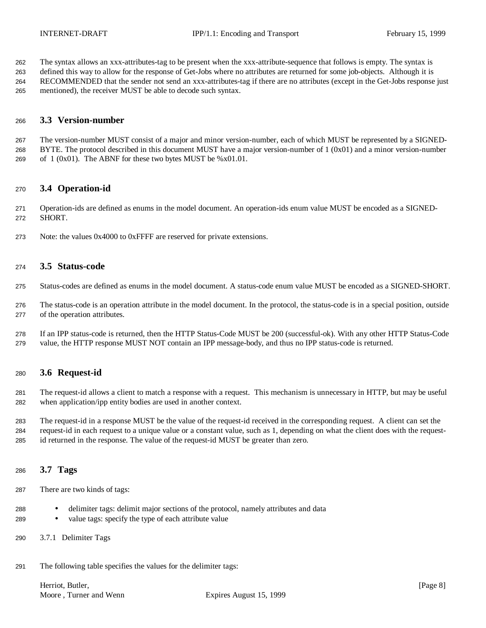The syntax allows an xxx-attributes-tag to be present when the xxx-attribute-sequence that follows is empty. The syntax is

 defined this way to allow for the response of Get-Jobs where no attributes are returned for some job-objects. Although it is RECOMMENDED that the sender not send an xxx-attributes-tag if there are no attributes (except in the Get-Jobs response just mentioned), the receiver MUST be able to decode such syntax.

### **3.3 Version-number**

 The version-number MUST consist of a major and minor version-number, each of which MUST be represented by a SIGNED- BYTE. The protocol described in this document MUST have a major version-number of 1 (0x01) and a minor version-number 269 of  $1 (0x01)$ . The ABNF for these two bytes MUST be %x01.01.

### **3.4 Operation-id**

 Operation-ids are defined as enums in the model document. An operation-ids enum value MUST be encoded as a SIGNED-SHORT.

Note: the values 0x4000 to 0xFFFF are reserved for private extensions.

### **3.5 Status-code**

- Status-codes are defined as enums in the model document. A status-code enum value MUST be encoded as a SIGNED-SHORT.
- The status-code is an operation attribute in the model document. In the protocol, the status-code is in a special position, outside of the operation attributes.
- If an IPP status-code is returned, then the HTTP Status-Code MUST be 200 (successful-ok). With any other HTTP Status-Code value, the HTTP response MUST NOT contain an IPP message-body, and thus no IPP status-code is returned.

### **3.6 Request-id**

 The request-id allows a client to match a response with a request. This mechanism is unnecessary in HTTP, but may be useful when application/ipp entity bodies are used in another context.

 The request-id in a response MUST be the value of the request-id received in the corresponding request. A client can set the request-id in each request to a unique value or a constant value, such as 1, depending on what the client does with the request-id returned in the response. The value of the request-id MUST be greater than zero.

### **3.7 Tags**

- There are two kinds of tags:
- delimiter tags: delimit major sections of the protocol, namely attributes and data
- value tags: specify the type of each attribute value
- 3.7.1 Delimiter Tags
- The following table specifies the values for the delimiter tags:

Herriot, Butler, [Page 8] [Page 8] Moore, Turner and Wenn Expires August 15, 1999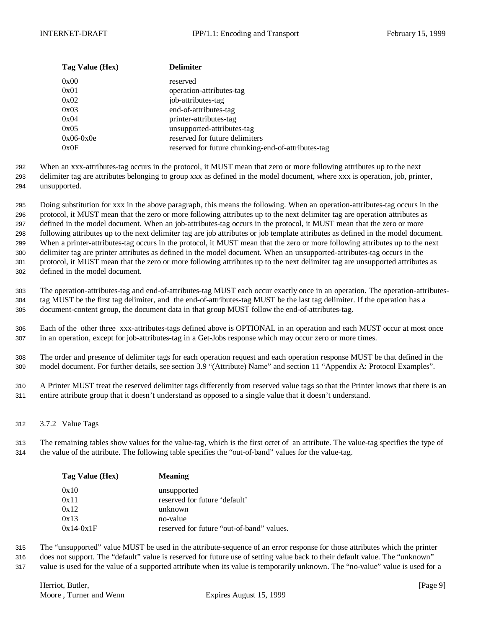| Tag Value (Hex) | <b>Delimiter</b>                                   |
|-----------------|----------------------------------------------------|
| 0x00            | reserved                                           |
| 0x01            | operation-attributes-tag                           |
| 0x02            | job-attributes-tag                                 |
| 0x03            | end-of-attributes-tag                              |
| 0x04            | printer-attributes-tag                             |
| 0x05            | unsupported-attributes-tag                         |
| $0x06-0x0e$     | reserved for future delimiters                     |
| 0x0F            | reserved for future chunking-end-of-attributes-tag |

292 When an xxx-attributes-tag occurs in the protocol, it MUST mean that zero or more following attributes up to the next 293 delimiter tag are attributes belonging to group xxx as defined in the model document, where xxx is operation, job, printer,

294 unsupported.

 Doing substitution for xxx in the above paragraph, this means the following. When an operation-attributes-tag occurs in the protocol, it MUST mean that the zero or more following attributes up to the next delimiter tag are operation attributes as defined in the model document. When an job-attributes-tag occurs in the protocol, it MUST mean that the zero or more following attributes up to the next delimiter tag are job attributes or job template attributes as defined in the model document. When a printer-attributes-tag occurs in the protocol, it MUST mean that the zero or more following attributes up to the next delimiter tag are printer attributes as defined in the model document. When an unsupported-attributes-tag occurs in the protocol, it MUST mean that the zero or more following attributes up to the next delimiter tag are unsupported attributes as defined in the model document.

303 The operation-attributes-tag and end-of-attributes-tag MUST each occur exactly once in an operation. The operation-attributes-304 tag MUST be the first tag delimiter, and the end-of-attributes-tag MUST be the last tag delimiter. If the operation has a 305 document-content group, the document data in that group MUST follow the end-of-attributes-tag.

306 Each of the other three xxx-attributes-tags defined above is OPTIONAL in an operation and each MUST occur at most once 307 in an operation, except for job-attributes-tag in a Get-Jobs response which may occur zero or more times.

308 The order and presence of delimiter tags for each operation request and each operation response MUST be that defined in the 309 model document. For further details, see section 3.9 "(Attribute) Name" and section 11 "Appendix A: Protocol Examples".

310 A Printer MUST treat the reserved delimiter tags differently from reserved value tags so that the Printer knows that there is an 311 entire attribute group that it doesn't understand as opposed to a single value that it doesn't understand.

312 3.7.2 Value Tags

313 The remaining tables show values for the value-tag, which is the first octet of an attribute. The value-tag specifies the type of 314 the value of the attribute. The following table specifies the "out-of-band" values for the value-tag.

| Tag Value (Hex) | <b>Meaning</b>                            |
|-----------------|-------------------------------------------|
| 0x10            | unsupported                               |
| 0x11            | reserved for future 'default'             |
| 0x12            | unknown                                   |
| 0x13            | no-value                                  |
| $0x14-0x1F$     | reserved for future "out-of-band" values. |

315 The "unsupported" value MUST be used in the attribute-sequence of an error response for those attributes which the printer

316 does not support. The "default" value is reserved for future use of setting value back to their default value. The "unknown"

317 value is used for the value of a supported attribute when its value is temporarily unknown. The "no-value" value is used for a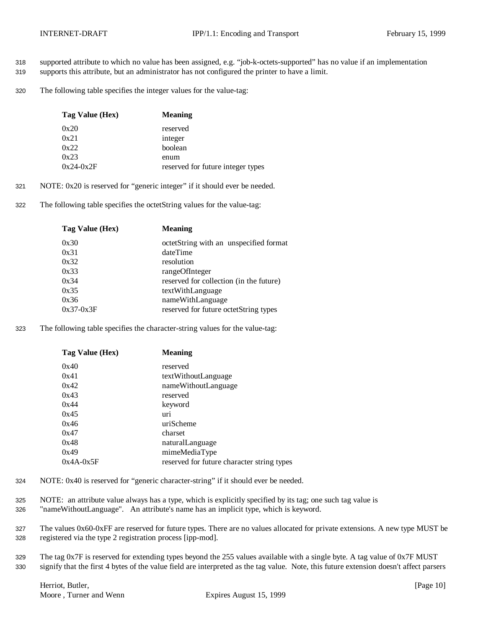- 318 supported attribute to which no value has been assigned, e.g. "job-k-octets-supported" has no value if an implementation
- 319 supports this attribute, but an administrator has not configured the printer to have a limit.
- 320 The following table specifies the integer values for the value-tag:

| Tag Value (Hex) | <b>Meaning</b>                    |
|-----------------|-----------------------------------|
| 0x20            | reserved                          |
| 0x21            | integer                           |
| 0x22            | boolean                           |
| 0x23            | enum                              |
| $0x24-0x2F$     | reserved for future integer types |

- 321 NOTE: 0x20 is reserved for "generic integer" if it should ever be needed.
- 322 The following table specifies the octetString values for the value-tag:

| Tag Value (Hex) | <b>Meaning</b>                          |
|-----------------|-----------------------------------------|
| 0x30            | octetString with an unspecified format  |
| 0x31            | dateTime                                |
| 0x32            | resolution                              |
| 0x33            | rangeOfInteger                          |
| 0x34            | reserved for collection (in the future) |
| 0x35            | textWithLanguage                        |
| 0x36            | nameWithLanguage                        |
| $0x37-0x3F$     | reserved for future octetString types   |
|                 |                                         |

323 The following table specifies the character-string values for the value-tag:

| Tag Value (Hex) | <b>Meaning</b>                             |
|-----------------|--------------------------------------------|
| 0x40            | reserved                                   |
| 0x41            | textWithoutLanguage                        |
| 0x42            | nameWithoutLanguage                        |
| 0x43            | reserved                                   |
| 0x44            | keyword                                    |
| 0x45            | uri                                        |
| 0x46            | uriScheme                                  |
| 0x47            | charset                                    |
| 0x48            | naturalLanguage                            |
| 0x49            | mimeMediaType                              |
| $0x4A-0x5F$     | reserved for future character string types |

- 324 NOTE: 0x40 is reserved for "generic character-string" if it should ever be needed.
- 325 NOTE: an attribute value always has a type, which is explicitly specified by its tag; one such tag value is
- 326 "nameWithoutLanguage". An attribute's name has an implicit type, which is keyword.
- 327 The values 0x60-0xFF are reserved for future types. There are no values allocated for private extensions. A new type MUST be 328 registered via the type 2 registration process [ipp-mod].
- 329 The tag 0x7F is reserved for extending types beyond the 255 values available with a single byte. A tag value of 0x7F MUST 330 signify that the first 4 bytes of the value field are interpreted as the tag value. Note, this future extension doesn't affect parsers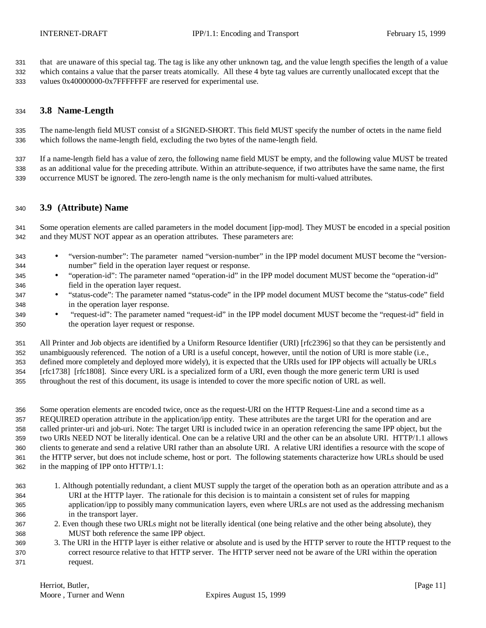that are unaware of this special tag. The tag is like any other unknown tag, and the value length specifies the length of a value which contains a value that the parser treats atomically. All these 4 byte tag values are currently unallocated except that the values 0x40000000-0x7FFFFFFF are reserved for experimental use.

#### **3.8 Name-Length**

 The name-length field MUST consist of a SIGNED-SHORT. This field MUST specify the number of octets in the name field which follows the name-length field, excluding the two bytes of the name-length field.

 If a name-length field has a value of zero, the following name field MUST be empty, and the following value MUST be treated as an additional value for the preceding attribute. Within an attribute-sequence, if two attributes have the same name, the first occurrence MUST be ignored. The zero-length name is the only mechanism for multi-valued attributes.

#### **3.9 (Attribute) Name**

 Some operation elements are called parameters in the model document [ipp-mod]. They MUST be encoded in a special position and they MUST NOT appear as an operation attributes. These parameters are:

- "version-number": The parameter named "version-number" in the IPP model document MUST become the "version-number" field in the operation layer request or response.
- "operation-id": The parameter named "operation-id" in the IPP model document MUST become the "operation-id" field in the operation layer request.
- "status-code": The parameter named "status-code" in the IPP model document MUST become the "status-code" field in the operation layer response.
- "request-id": The parameter named "request-id" in the IPP model document MUST become the "request-id" field in the operation layer request or response.

 All Printer and Job objects are identified by a Uniform Resource Identifier (URI) [rfc2396] so that they can be persistently and unambiguously referenced. The notion of a URI is a useful concept, however, until the notion of URI is more stable (i.e., defined more completely and deployed more widely), it is expected that the URIs used for IPP objects will actually be URLs [rfc1738] [rfc1808]. Since every URL is a specialized form of a URI, even though the more generic term URI is used throughout the rest of this document, its usage is intended to cover the more specific notion of URL as well.

 Some operation elements are encoded twice, once as the request-URI on the HTTP Request-Line and a second time as a REQUIRED operation attribute in the application/ipp entity. These attributes are the target URI for the operation and are called printer-uri and job-uri. Note: The target URI is included twice in an operation referencing the same IPP object, but the two URIs NEED NOT be literally identical. One can be a relative URI and the other can be an absolute URI. HTTP/1.1 allows clients to generate and send a relative URI rather than an absolute URI. A relative URI identifies a resource with the scope of the HTTP server, but does not include scheme, host or port. The following statements characterize how URLs should be used in the mapping of IPP onto HTTP/1.1:

- 1. Although potentially redundant, a client MUST supply the target of the operation both as an operation attribute and as a URI at the HTTP layer. The rationale for this decision is to maintain a consistent set of rules for mapping application/ipp to possibly many communication layers, even where URLs are not used as the addressing mechanism in the transport layer.
- 2. Even though these two URLs might not be literally identical (one being relative and the other being absolute), they MUST both reference the same IPP object.
- 3. The URI in the HTTP layer is either relative or absolute and is used by the HTTP server to route the HTTP request to the correct resource relative to that HTTP server. The HTTP server need not be aware of the URI within the operation request.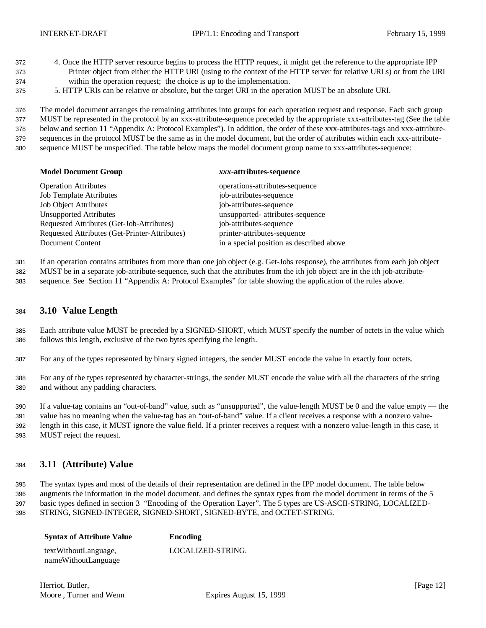- 4. Once the HTTP server resource begins to process the HTTP request, it might get the reference to the appropriate IPP Printer object from either the HTTP URI (using to the context of the HTTP server for relative URLs) or from the URI within the operation request; the choice is up to the implementation.
- 5. HTTP URIs can be relative or absolute, but the target URI in the operation MUST be an absolute URI.

 The model document arranges the remaining attributes into groups for each operation request and response. Each such group MUST be represented in the protocol by an xxx-attribute-sequence preceded by the appropriate xxx-attributes-tag (See the table below and section 11 "Appendix A: Protocol Examples"). In addition, the order of these xxx-attributes-tags and xxx-attribute- sequences in the protocol MUST be the same as in the model document, but the order of attributes within each xxx-attribute-sequence MUST be unspecified. The table below maps the model document group name to xxx-attributes-sequence:

#### **Model Document Group** *xxx***-attributes-sequence**

| <b>Operation Attributes</b>                   | operations-attributes-sequence           |
|-----------------------------------------------|------------------------------------------|
| <b>Job Template Attributes</b>                | job-attributes-sequence                  |
| <b>Job Object Attributes</b>                  | job-attributes-sequence                  |
| <b>Unsupported Attributes</b>                 | unsupported- attributes-sequence         |
| Requested Attributes (Get-Job-Attributes)     | job-attributes-sequence                  |
| Requested Attributes (Get-Printer-Attributes) | printer-attributes-sequence              |
| Document Content                              | in a special position as described above |
|                                               |                                          |

 If an operation contains attributes from more than one job object (e.g. Get-Jobs response), the attributes from each job object MUST be in a separate job-attribute-sequence, such that the attributes from the ith job object are in the ith job-attribute-

sequence. See Section 11 "Appendix A: Protocol Examples" for table showing the application of the rules above.

#### **3.10 Value Length**

 Each attribute value MUST be preceded by a SIGNED-SHORT, which MUST specify the number of octets in the value which follows this length, exclusive of the two bytes specifying the length.

For any of the types represented by binary signed integers, the sender MUST encode the value in exactly four octets.

 For any of the types represented by character-strings, the sender MUST encode the value with all the characters of the string and without any padding characters.

 If a value-tag contains an "out-of-band" value, such as "unsupported", the value-length MUST be 0 and the value empty — the value has no meaning when the value-tag has an "out-of-band" value. If a client receives a response with a nonzero value- length in this case, it MUST ignore the value field. If a printer receives a request with a nonzero value-length in this case, it MUST reject the request.

### **3.11 (Attribute) Value**

 The syntax types and most of the details of their representation are defined in the IPP model document. The table below augments the information in the model document, and defines the syntax types from the model document in terms of the 5 basic types defined in section 3 "Encoding of the Operation Layer". The 5 types are US-ASCII-STRING, LOCALIZED-STRING, SIGNED-INTEGER, SIGNED-SHORT, SIGNED-BYTE, and OCTET-STRING.

| <b>Syntax of Attribute Value</b>            | Encoding          |
|---------------------------------------------|-------------------|
| textWithoutLanguage,<br>nameWithoutLanguage | LOCALIZED-STRING. |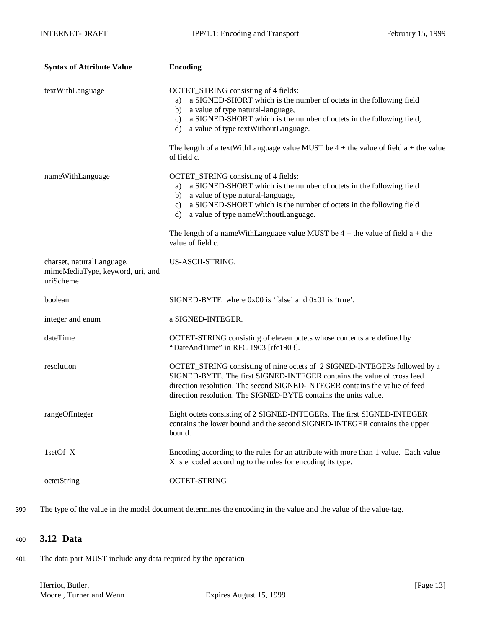| <b>Syntax of Attribute Value</b>                                           | <b>Encoding</b>                                                                                                                                                                                                                                                                                                                                                                                            |
|----------------------------------------------------------------------------|------------------------------------------------------------------------------------------------------------------------------------------------------------------------------------------------------------------------------------------------------------------------------------------------------------------------------------------------------------------------------------------------------------|
| textWithLanguage                                                           | OCTET_STRING consisting of 4 fields:<br>a SIGNED-SHORT which is the number of octets in the following field<br>a)<br>b) a value of type natural-language,<br>a SIGNED-SHORT which is the number of octets in the following field,<br>c)<br>d) a value of type textWithoutLanguage.                                                                                                                         |
|                                                                            | The length of a textWithLanguage value MUST be $4 +$ the value of field a + the value<br>of field c.                                                                                                                                                                                                                                                                                                       |
| nameWithLanguage                                                           | OCTET_STRING consisting of 4 fields:<br>a SIGNED-SHORT which is the number of octets in the following field<br>a)<br>b) a value of type natural-language,<br>a SIGNED-SHORT which is the number of octets in the following field<br>$\mathbf{c}$ )<br>a value of type nameWithoutLanguage.<br>d)<br>The length of a nameWithLanguage value MUST be $4 +$ the value of field $a +$ the<br>value of field c. |
| charset, naturalLanguage,<br>mimeMediaType, keyword, uri, and<br>uriScheme | US-ASCII-STRING.                                                                                                                                                                                                                                                                                                                                                                                           |
| boolean                                                                    | SIGNED-BYTE where 0x00 is 'false' and 0x01 is 'true'.                                                                                                                                                                                                                                                                                                                                                      |
| integer and enum                                                           | a SIGNED-INTEGER.                                                                                                                                                                                                                                                                                                                                                                                          |
| dateTime                                                                   | OCTET-STRING consisting of eleven octets whose contents are defined by<br>"DateAndTime" in RFC 1903 [rfc1903].                                                                                                                                                                                                                                                                                             |
| resolution                                                                 | OCTET_STRING consisting of nine octets of 2 SIGNED-INTEGERs followed by a<br>SIGNED-BYTE. The first SIGNED-INTEGER contains the value of cross feed<br>direction resolution. The second SIGNED-INTEGER contains the value of feed<br>direction resolution. The SIGNED-BYTE contains the units value.                                                                                                       |
| rangeOfInteger                                                             | Eight octets consisting of 2 SIGNED-INTEGERs. The first SIGNED-INTEGER<br>contains the lower bound and the second SIGNED-INTEGER contains the upper<br>bound.                                                                                                                                                                                                                                              |
| 1setOf X                                                                   | Encoding according to the rules for an attribute with more than 1 value. Each value<br>X is encoded according to the rules for encoding its type.                                                                                                                                                                                                                                                          |
| octetString                                                                | <b>OCTET-STRING</b>                                                                                                                                                                                                                                                                                                                                                                                        |

399 The type of the value in the model document determines the encoding in the value and the value of the value-tag.

### <sup>400</sup> **3.12 Data**

401 The data part MUST include any data required by the operation

Herriot, Butler, [Page 13] Moore, Turner and Wenn Expires August 15, 1999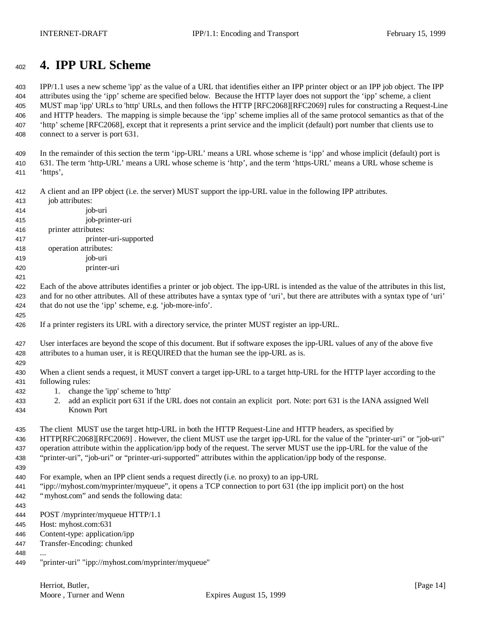# **4. IPP URL Scheme**

 IPP/1.1 uses a new scheme 'ipp' as the value of a URL that identifies either an IPP printer object or an IPP job object. The IPP attributes using the 'ipp' scheme are specified below. Because the HTTP layer does not support the 'ipp' scheme, a client MUST map 'ipp' URLs to 'http' URLs, and then follows the HTTP [RFC2068][RFC2069] rules for constructing a Request-Line and HTTP headers. The mapping is simple because the 'ipp' scheme implies all of the same protocol semantics as that of the 'http' scheme [RFC2068], except that it represents a print service and the implicit (default) port number that clients use to connect to a server is port 631.

 In the remainder of this section the term 'ipp-URL' means a URL whose scheme is 'ipp' and whose implicit (default) port is 631. The term 'http-URL' means a URL whose scheme is 'http', and the term 'https-URL' means a URL whose scheme is 'https',

A client and an IPP object (i.e. the server) MUST support the ipp-URL value in the following IPP attributes.

- job attributes: job-uri job-printer-uri
- printer attributes:

printer-uri-supported

- operation attributes:
- job-uri printer-uri
- 

 Each of the above attributes identifies a printer or job object. The ipp-URL is intended as the value of the attributes in this list, and for no other attributes. All of these attributes have a syntax type of 'uri', but there are attributes with a syntax type of 'uri' that do not use the 'ipp' scheme, e.g. 'job-more-info'.

If a printer registers its URL with a directory service, the printer MUST register an ipp-URL.

 User interfaces are beyond the scope of this document. But if software exposes the ipp-URL values of any of the above five attributes to a human user, it is REQUIRED that the human see the ipp-URL as is.

 430 When a client sends a request, it MUST convert a target ipp-URL to a target http-URL for the HTTP layer according to the following rules:

- 1. change the 'ipp' scheme to 'http'
- 2. add an explicit port 631 if the URL does not contain an explicit port. Note: port 631 is the IANA assigned Well Known Port

 The client MUST use the target http-URL in both the HTTP Request-Line and HTTP headers, as specified by HTTP[RFC2068][RFC2069] . However, the client MUST use the target ipp-URL for the value of the "printer-uri" or "job-uri" operation attribute within the application/ipp body of the request. The server MUST use the ipp-URL for the value of the "printer-uri", "job-uri" or "printer-uri-supported" attributes within the application/ipp body of the response.

For example, when an IPP client sends a request directly (i.e. no proxy) to an ipp-URL

 "ipp://myhost.com/myprinter/myqueue", it opens a TCP connection to port 631 (the ipp implicit port) on the host "myhost.com" and sends the following data:

POST /myprinter/myqueue HTTP/1.1

Host: myhost.com:631

- Content-type: application/ipp
- Transfer-Encoding: chunked
- ...
- "printer-uri" "ipp://myhost.com/myprinter/myqueue"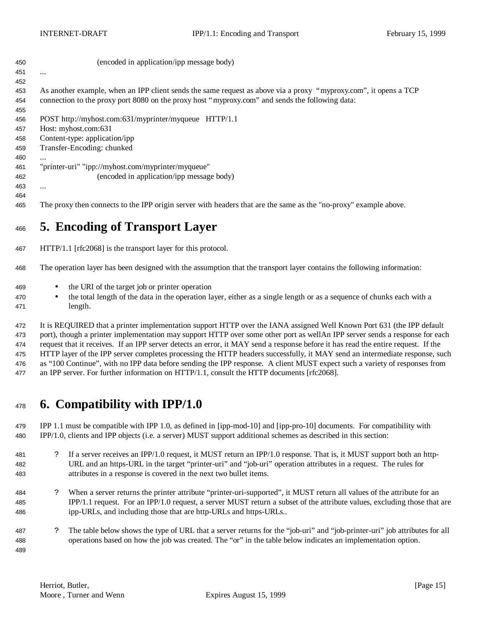| 450 | (encoded in application/ipp message body)                                                                        |
|-----|------------------------------------------------------------------------------------------------------------------|
| 451 | $\cdots$                                                                                                         |
| 452 |                                                                                                                  |
| 453 | As another example, when an IPP client sends the same request as above via a proxy "myproxy.com", it opens a TCP |
| 454 | connection to the proxy port 8080 on the proxy host "myproxy.com" and sends the following data:                  |
| 455 |                                                                                                                  |
| 456 | POST http://myhost.com:631/myprinter/myqueue HTTP/1.1                                                            |
| 457 | Host: myhost.com:631                                                                                             |
| 458 | Content-type: application/ipp                                                                                    |
| 459 | Transfer-Encoding: chunked                                                                                       |
| 460 | $\cdots$                                                                                                         |
| 461 | "printer-uri" "ipp://myhost.com/myprinter/myqueue"                                                               |
| 462 | (encoded in application/ipp message body)                                                                        |
| 463 | $\cdots$                                                                                                         |
| 464 |                                                                                                                  |
| 465 | The proxy then connects to the IPP origin server with headers that are the same as the "no-proxy" example above. |

# **5. Encoding of Transport Layer**

HTTP/1.1 [rfc2068] is the transport layer for this protocol.

The operation layer has been designed with the assumption that the transport layer contains the following information:

- the URI of the target job or printer operation
- the total length of the data in the operation layer, either as a single length or as a sequence of chunks each with a length.

 It is REQUIRED that a printer implementation support HTTP over the IANA assigned Well Known Port 631 (the IPP default port), though a printer implementation may support HTTP over some other port as wellAn IPP server sends a response for each request that it receives. If an IPP server detects an error, it MAY send a response before it has read the entire request. If the HTTP layer of the IPP server completes processing the HTTP headers successfully, it MAY send an intermediate response, such as "100 Continue", with no IPP data before sending the IPP response. A client MUST expect such a variety of responses from an IPP server. For further information on HTTP/1.1, consult the HTTP documents [rfc2068].

### **6. Compatibility with IPP/1.0**

 IPP 1.1 must be compatible with IPP 1.0, as defined in [ipp-mod-10] and [ipp-pro-10] documents. For compatibility with IPP/1.0, clients and IPP objects (i.e. a server) MUST support additional schemes as described in this section:

- ? If a server receives an IPP/1.0 request, it MUST return an IPP/1.0 response. That is, it MUST support both an http- URL and an https-URL in the target "printer-uri" and "job-uri" operation attributes in a request. The rules for attributes in a response is covered in the next two bullet items.
- ? When a server returns the printer attribute "printer-uri-supported", it MUST return all values of the attribute for an IPP/1.1 request. For an IPP/1.0 request, a server MUST return a subset of the attribute values, excluding those that are ipp-URLs, and including those that are http-URLs and https-URLs..
- ? The table below shows the type of URL that a server returns for the "job-uri" and "job-printer-uri" job attributes for all operations based on how the job was created. The "or" in the table below indicates an implementation option.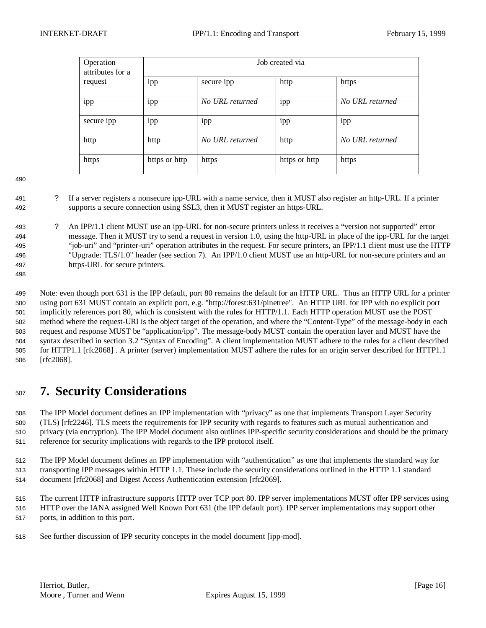| Operation<br>attributes for a | Job created via |                 |               |                 |
|-------------------------------|-----------------|-----------------|---------------|-----------------|
| request                       | 1pp             | secure ipp      | http          | https           |
| ipp                           | ipp             | No URL returned | 1pp           | No URL returned |
| secure ipp                    | 1pp             | 1pp             | 1pp           | 1pp             |
| http                          | http            | No URL returned | http          | No URL returned |
| https                         | https or http   | https           | https or http | https           |

- ? If a server registers a nonsecure ipp-URL with a name service, then it MUST also register an http-URL. If a printer supports a secure connection using SSL3, then it MUST register an https-URL.
- ? An IPP/1.1 client MUST use an ipp-URL for non-secure printers unless it receives a "version not supported" error message. Then it MUST try to send a request in version 1.0, using the http-URL in place of the ipp-URL for the target "job-uri" and "printer-uri" operation attributes in the request. For secure printers, an IPP/1.1 client must use the HTTP "Upgrade: TLS/1.0" header (see section 7). An IPP/1.0 client MUST use an http-URL for non-secure printers and an https-URL for secure printers.

 Note: even though port 631 is the IPP default, port 80 remains the default for an HTTP URL. Thus an HTTP URL for a printer using port 631 MUST contain an explicit port, e.g. "http://forest:631/pinetree". An HTTP URL for IPP with no explicit port implicitly references port 80, which is consistent with the rules for HTTP/1.1. Each HTTP operation MUST use the POST method where the request-URI is the object target of the operation, and where the "Content-Type" of the message-body in each request and response MUST be "application/ipp". The message-body MUST contain the operation layer and MUST have the syntax described in section 3.2 "Syntax of Encoding". A client implementation MUST adhere to the rules for a client described for HTTP1.1 [rfc2068] . A printer (server) implementation MUST adhere the rules for an origin server described for HTTP1.1 [rfc2068].

# **7. Security Considerations**

 The IPP Model document defines an IPP implementation with "privacy" as one that implements Transport Layer Security (TLS) [rfc2246]. TLS meets the requirements for IPP security with regards to features such as mutual authentication and privacy (via encryption). The IPP Model document also outlines IPP-specific security considerations and should be the primary reference for security implications with regards to the IPP protocol itself.

 The IPP Model document defines an IPP implementation with "authentication" as one that implements the standard way for transporting IPP messages within HTTP 1.1. These include the security considerations outlined in the HTTP 1.1 standard document [rfc2068] and Digest Access Authentication extension [rfc2069].

 The current HTTP infrastructure supports HTTP over TCP port 80. IPP server implementations MUST offer IPP services using HTTP over the IANA assigned Well Known Port 631 (the IPP default port). IPP server implementations may support other ports, in addition to this port.

See further discussion of IPP security concepts in the model document [ipp-mod].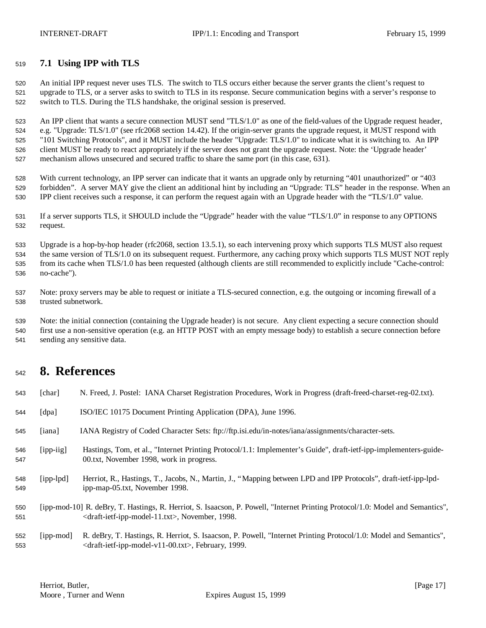### **7.1 Using IPP with TLS**

 An initial IPP request never uses TLS. The switch to TLS occurs either because the server grants the client's request to upgrade to TLS, or a server asks to switch to TLS in its response. Secure communication begins with a server's response to switch to TLS. During the TLS handshake, the original session is preserved.

 An IPP client that wants a secure connection MUST send "TLS/1.0" as one of the field-values of the Upgrade request header, e.g. "Upgrade: TLS/1.0" (see rfc2068 section 14.42). If the origin-server grants the upgrade request, it MUST respond with "101 Switching Protocols", and it MUST include the header "Upgrade: TLS/1.0" to indicate what it is switching to. An IPP client MUST be ready to react appropriately if the server does not grant the upgrade request. Note: the 'Upgrade header' mechanism allows unsecured and secured traffic to share the same port (in this case, 631).

 With current technology, an IPP server can indicate that it wants an upgrade only by returning "401 unauthorized" or "403 forbidden". A server MAY give the client an additional hint by including an "Upgrade: TLS" header in the response. When an IPP client receives such a response, it can perform the request again with an Upgrade header with the "TLS/1.0" value.

 If a server supports TLS, it SHOULD include the "Upgrade" header with the value "TLS/1.0" in response to any OPTIONS request.

 Upgrade is a hop-by-hop header (rfc2068, section 13.5.1), so each intervening proxy which supports TLS MUST also request the same version of TLS/1.0 on its subsequent request. Furthermore, any caching proxy which supports TLS MUST NOT reply from its cache when TLS/1.0 has been requested (although clients are still recommended to explicitly include "Cache-control: no-cache").

 Note: proxy servers may be able to request or initiate a TLS-secured connection, e.g. the outgoing or incoming firewall of a trusted subnetwork.

 Note: the initial connection (containing the Upgrade header) is not secure. Any client expecting a secure connection should first use a non-sensitive operation (e.g. an HTTP POST with an empty message body) to establish a secure connection before sending any sensitive data.

### **8. References**

| 543        | [char]              | N. Freed, J. Postel: IANA Charset Registration Procedures, Work in Progress (draft-freed-charset-reg-02.txt).                                                                                                  |
|------------|---------------------|----------------------------------------------------------------------------------------------------------------------------------------------------------------------------------------------------------------|
| 544        | $\lceil dpa \rceil$ | ISO/IEC 10175 Document Printing Application (DPA), June 1996.                                                                                                                                                  |
| 545        | [iana]              | IANA Registry of Coded Character Sets: ftp://ftp.isi.edu/in-notes/iana/assignments/character-sets.                                                                                                             |
| 546<br>547 | $[$ ipp-iig $]$     | Hastings, Tom, et al., "Internet Printing Protocol/1.1: Implementer's Guide", draft-ietf-ipp-implementers-guide-<br>00.txt, November 1998, work in progress.                                                   |
| 548<br>549 | $[ipp-lpd]$         | Herriot, R., Hastings, T., Jacobs, N., Martin, J., "Mapping between LPD and IPP Protocols", draft-ietf-ipp-lpd-<br>ipp-map-05.txt, November 1998.                                                              |
| 550<br>551 |                     | [ipp-mod-10] R. deBry, T. Hastings, R. Herriot, S. Isaacson, P. Powell, "Internet Printing Protocol/1.0: Model and Semantics",<br><draft-ietf-ipp-model-11.txt>, November, 1998.</draft-ietf-ipp-model-11.txt> |
| 552<br>553 | [ipp-mod]           | R. deBry, T. Hastings, R. Herriot, S. Isaacson, P. Powell, "Internet Printing Protocol/1.0: Model and Semantics",<br>$\langle$ draft-ietf-ipp-model-v11-00.txt>, February, 1999.                               |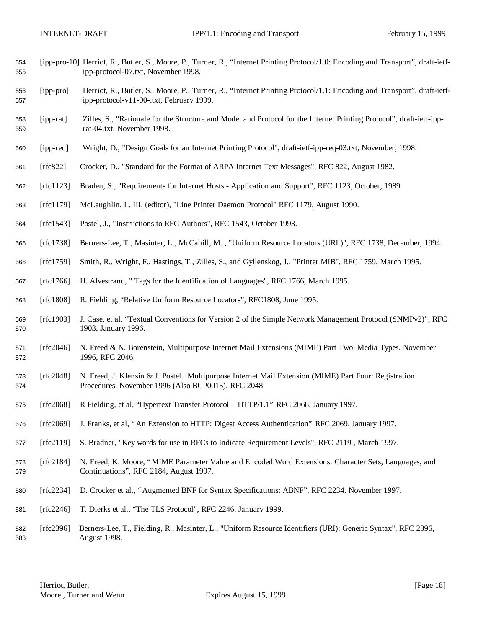- [ipp-pro-10] Herriot, R., Butler, S., Moore, P., Turner, R., "Internet Printing Protocol/1.0: Encoding and Transport", draft-ietf-ipp-protocol-07.txt, November 1998.
- [ipp-pro] Herriot, R., Butler, S., Moore, P., Turner, R., "Internet Printing Protocol/1.1: Encoding and Transport", draft-ietf-ipp-protocol-v11-00-.txt, February 1999.
- [ipp-rat] Zilles, S., "Rationale for the Structure and Model and Protocol for the Internet Printing Protocol", draft-ietf-ipp-rat-04.txt, November 1998.
- [ipp-req] Wright, D., "Design Goals for an Internet Printing Protocol", draft-ietf-ipp-req-03.txt, November, 1998.
- [rfc822] Crocker, D., "Standard for the Format of ARPA Internet Text Messages", RFC 822, August 1982.
- [rfc1123] Braden, S., "Requirements for Internet Hosts Application and Support", RFC 1123, October, 1989.
- [rfc1179] McLaughlin, L. III, (editor), "Line Printer Daemon Protocol" RFC 1179, August 1990.
- [rfc1543] Postel, J., "Instructions to RFC Authors", RFC 1543, October 1993.
- [rfc1738] Berners-Lee, T., Masinter, L., McCahill, M. , "Uniform Resource Locators (URL)", RFC 1738, December, 1994.
- [rfc1759] Smith, R., Wright, F., Hastings, T., Zilles, S., and Gyllenskog, J., "Printer MIB", RFC 1759, March 1995.
- [rfc1766] H. Alvestrand, " Tags for the Identification of Languages", RFC 1766, March 1995.
- [rfc1808] R. Fielding, "Relative Uniform Resource Locators", RFC1808, June 1995.
- [rfc1903] J. Case, et al. "Textual Conventions for Version 2 of the Simple Network Management Protocol (SNMPv2)", RFC 1903, January 1996.
- [rfc2046] N. Freed & N. Borenstein, Multipurpose Internet Mail Extensions (MIME) Part Two: Media Types. November 1996, RFC 2046.
- [rfc2048] N. Freed, J. Klensin & J. Postel. Multipurpose Internet Mail Extension (MIME) Part Four: Registration Procedures. November 1996 (Also BCP0013), RFC 2048.
- [rfc2068] R Fielding, et al, "Hypertext Transfer Protocol HTTP/1.1" RFC 2068, January 1997.
- [rfc2069] J. Franks, et al, "An Extension to HTTP: Digest Access Authentication" RFC 2069, January 1997.
- [rfc2119] S. Bradner, "Key words for use in RFCs to Indicate Requirement Levels", RFC 2119 , March 1997.
- [rfc2184] N. Freed, K. Moore, "MIME Parameter Value and Encoded Word Extensions: Character Sets, Languages, and Continuations", RFC 2184, August 1997.
- [rfc2234] D. Crocker et al., "Augmented BNF for Syntax Specifications: ABNF", RFC 2234. November 1997.
- [rfc2246] T. Dierks et al., "The TLS Protocol", RFC 2246. January 1999.
- [rfc2396] Berners-Lee, T., Fielding, R., Masinter, L., "Uniform Resource Identifiers (URI): Generic Syntax", RFC 2396, August 1998.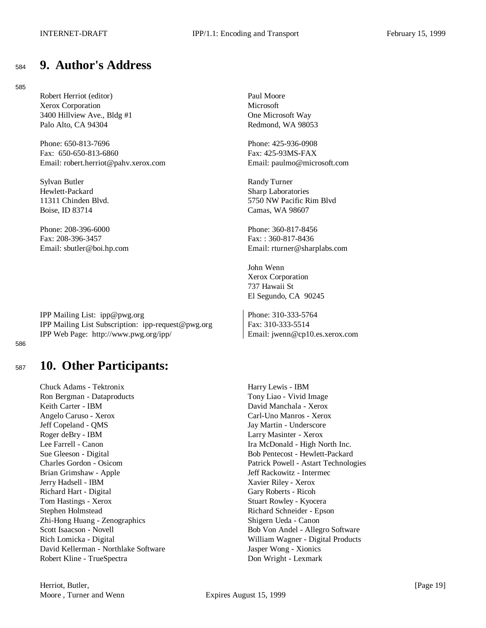### <sup>584</sup> **9. Author's Address**

#### 585

Robert Herriot (editor) Paul Moore Xerox Corporation Microsoft 3400 Hillview Ave., Bldg #1 One Microsoft Way Palo Alto, CA 94304 **Redmond, WA 98053** 

Phone: 650-813-7696 Phone: 425-936-0908 Fax: 650-650-813-6860 Fax: 425-93MS-FAX Email: robert.herriot@pahv.xerox.com Email: paulmo@microsoft.com

Sylvan Butler Randy Turner Hewlett-Packard Sharp Laboratories Boise, ID 83714 Camas, WA 98607

Phone: 208-396-6000 Phone: 360-817-8456 Fax: 208-396-3457 Fax: : 360-817-8436

IPP Mailing List: ipp@pwg.org Phone: 310-333-5764 IPP Mailing List Subscription: ipp-request@pwg.org Fax: 310-333-5514 IPP Web Page: http://www.pwg.org/ipp/ Email: jwenn@cp10.es.xerox.com

586

### <sup>587</sup> **10. Other Participants:**

Chuck Adams - Tektronix **Harry Lewis** - IBM Ron Bergman - Dataproducts Tony Liao - Vivid Image Keith Carter - IBM David Manchala - Xerox Angelo Caruso - Xerox Carl-Uno Manros - Xerox Jeff Copeland - QMS Jay Martin - Underscore Roger deBry - IBM Larry Masinter - Xerox Lee Farrell - Canon **Ira McDonald - High North Inc.** Sue Gleeson - Digital Bob Pentecost - Hewlett-Packard Charles Gordon - Osicom Patrick Powell - Astart Technologies Brian Grimshaw - Apple **Intermected Apple 3** and Jeff Rackowitz - Intermected Apple 3 Jerry Hadsell - IBM Xavier Riley - Xerox Richard Hart - Digital Gary Roberts - Ricoh Tom Hastings - Xerox Stuart Rowley - Kyocera Stephen Holmstead Richard Schneider - Epson Zhi-Hong Huang - Zenographics Shigern Ueda - Canon Scott Isaacson - Novell **Bob Von Andel - Allegro Software** Rich Lomicka - Digital William Wagner - Digital Products David Kellerman - Northlake Software Jasper Wong - Xionics Robert Kline - TrueSpectra **Don Wright - Lexmark** 

11311 Chinden Blvd. 5750 NW Pacific Rim Blvd

Email: sbutler@boi.hp.com Email: rturner@sharplabs.com

John Wenn Xerox Corporation 737 Hawaii St El Segundo, CA 90245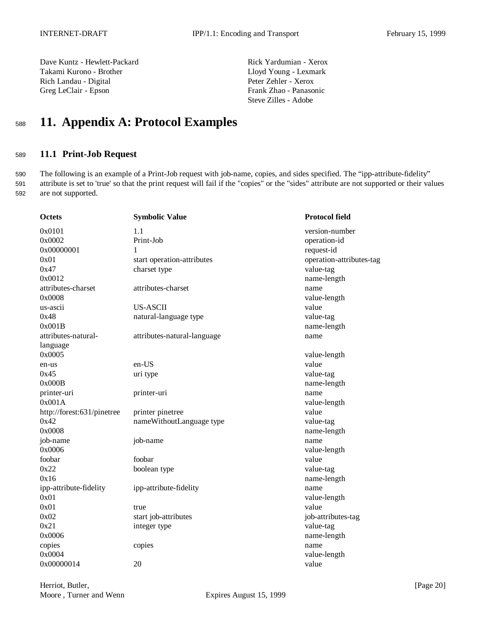Dave Kuntz - Hewlett-Packard Rick Yardumian - Xerox Takami Kurono - Brother Lloyd Young - Lexmark Rich Landau - Digital Peter Zehler - Xerox Greg LeClair - Epson Frank Zhao - Panasonic

Steve Zilles - Adobe

# <sup>588</sup> **11. Appendix A: Protocol Examples**

### <sup>589</sup> **11.1 Print-Job Request**

590 The following is an example of a Print-Job request with job-name, copies, and sides specified. The "ipp-attribute-fidelity" 591 attribute is set to 'true' so that the print request will fail if the "copies" or the "sides" attribute are not supported or their values 592 are not supported.

| <b>Octets</b>              | <b>Symbolic Value</b>       | <b>Protocol field</b>    |
|----------------------------|-----------------------------|--------------------------|
| 0x0101                     | 1.1                         | version-number           |
| 0x0002                     | Print-Job                   | operation-id             |
| 0x00000001                 | 1                           | request-id               |
| 0x01                       | start operation-attributes  | operation-attributes-tag |
| 0x47                       | charset type                | value-tag                |
| 0x0012                     |                             | name-length              |
| attributes-charset         | attributes-charset          | name                     |
| 0x0008                     |                             | value-length             |
| us-ascii                   | <b>US-ASCII</b>             | value                    |
| 0x48                       | natural-language type       | value-tag                |
| 0x001B                     |                             | name-length              |
| attributes-natural-        | attributes-natural-language | name                     |
| language                   |                             |                          |
| 0x0005                     |                             | value-length             |
| en-us                      | $en-US$                     | value                    |
| 0x45                       | uri type                    | value-tag                |
| 0x000B                     |                             | name-length              |
| printer-uri                | printer-uri                 | name                     |
| 0x001A                     |                             | value-length             |
| http://forest:631/pinetree | printer pinetree            | value                    |
| 0x42                       | nameWithoutLanguage type    | value-tag                |
| 0x0008                     |                             | name-length              |
| job-name                   | job-name                    | name                     |
| 0x0006                     |                             | value-length             |
| foobar                     | foobar                      | value                    |
| 0x22                       | boolean type                | value-tag                |
| 0x16                       |                             | name-length              |
| ipp-attribute-fidelity     | ipp-attribute-fidelity      | name                     |
| 0x01                       |                             | value-length             |
| 0x01                       | true                        | value                    |
| 0x02                       | start job-attributes        | job-attributes-tag       |
| 0x21                       | integer type                | value-tag                |
| 0x0006                     |                             | name-length              |
| copies                     | copies                      | name                     |
| 0x0004                     |                             | value-length             |
| 0x00000014                 | 20                          | value                    |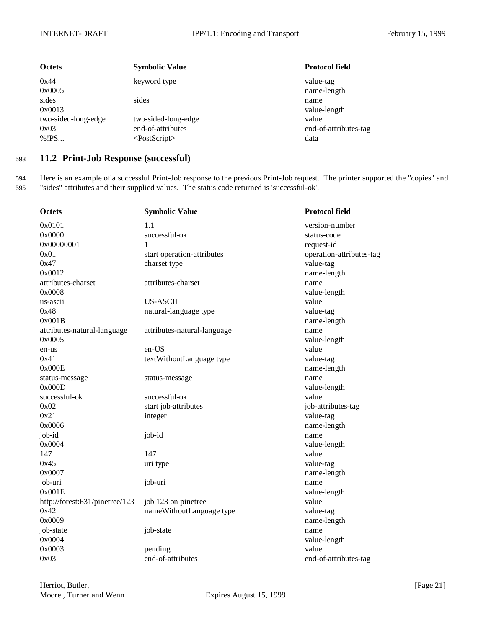| <b>Octets</b>                         | <b>Symbolic Value</b>                                          | <b>Protocol field</b>                  |
|---------------------------------------|----------------------------------------------------------------|----------------------------------------|
| 0x44<br>0x0005                        | keyword type                                                   | value-tag<br>name-length               |
| sides<br>0x0013                       | sides                                                          | name<br>value-length                   |
| two-sided-long-edge<br>0x03<br>% ! PS | two-sided-long-edge<br>end-of-attributes<br>$<$ PostScript $>$ | value<br>end-of-attributes-tag<br>data |

### <sup>593</sup> **11.2 Print-Job Response (successful)**

594 Here is an example of a successful Print-Job response to the previous Print-Job request. The printer supported the "copies" and 595 "sides" attributes and their supplied values. The status code returned is 'successful-ok'.

| <b>Octets</b>                  | <b>Symbolic Value</b>       | <b>Protocol field</b>    |
|--------------------------------|-----------------------------|--------------------------|
| 0x0101                         | 1.1                         | version-number           |
| 0x0000                         | successful-ok               | status-code              |
| 0x00000001                     | 1                           | request-id               |
| 0x01                           | start operation-attributes  | operation-attributes-tag |
| 0x47                           | charset type                | value-tag                |
| 0x0012                         |                             | name-length              |
| attributes-charset             | attributes-charset          | name                     |
| 0x0008                         |                             | value-length             |
| us-ascii                       | <b>US-ASCII</b>             | value                    |
| 0x48                           | natural-language type       | value-tag                |
| 0x001B                         |                             | name-length              |
| attributes-natural-language    | attributes-natural-language | name                     |
| 0x0005                         |                             | value-length             |
| en-us                          | en-US                       | value                    |
| 0x41                           | textWithoutLanguage type    | value-tag                |
| 0x000E                         |                             | name-length              |
| status-message                 | status-message              | name                     |
| 0x000D                         |                             | value-length             |
| successful-ok                  | successful-ok               | value                    |
| 0x02                           | start job-attributes        | job-attributes-tag       |
| 0x21                           | integer                     | value-tag                |
| 0x0006                         |                             | name-length              |
| job-id                         | job-id                      | name                     |
| 0x0004                         |                             | value-length             |
| 147                            | 147                         | value                    |
| 0x45                           | uri type                    | value-tag                |
| 0x0007                         |                             | name-length              |
| job-uri                        | job-uri                     | name                     |
| 0x001E                         |                             | value-length             |
| http://forest:631/pinetree/123 | job 123 on pinetree         | value                    |
| 0x42                           | nameWithoutLanguage type    | value-tag                |
| 0x0009                         |                             | name-length              |
| job-state                      | job-state                   | name                     |
| 0x0004                         |                             | value-length             |
| 0x0003                         | pending                     | value                    |
| 0x03                           | end-of-attributes           | end-of-attributes-tag    |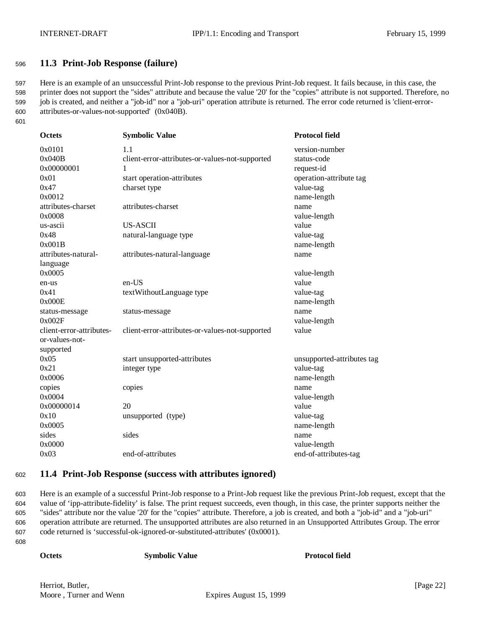### <sup>596</sup> **11.3 Print-Job Response (failure)**

 Here is an example of an unsuccessful Print-Job response to the previous Print-Job request. It fails because, in this case, the printer does not support the "sides" attribute and because the value '20' for the "copies" attribute is not supported. Therefore, no job is created, and neither a "job-id" nor a "job-uri" operation attribute is returned. The error code returned is 'client-error-attributes-or-values-not-supported' (0x040B).

601

| <b>Octets</b>                              | <b>Symbolic Value</b>                           | <b>Protocol field</b>      |
|--------------------------------------------|-------------------------------------------------|----------------------------|
| 0x0101                                     | 1.1                                             | version-number             |
| 0x040B                                     | client-error-attributes-or-values-not-supported | status-code                |
| 0x00000001                                 |                                                 | request-id                 |
| 0x01                                       | start operation-attributes                      | operation-attribute tag    |
| 0x47                                       | charset type                                    | value-tag                  |
| 0x0012                                     |                                                 | name-length                |
| attributes-charset                         | attributes-charset                              | name                       |
| 0x0008                                     |                                                 | value-length               |
| us-ascii                                   | <b>US-ASCII</b>                                 | value                      |
| 0x48                                       | natural-language type                           | value-tag                  |
| 0x001B                                     |                                                 | name-length                |
| attributes-natural-                        | attributes-natural-language                     | name                       |
| language                                   |                                                 |                            |
| 0x0005                                     |                                                 | value-length               |
| en-us                                      | en-US                                           | value                      |
| 0x41                                       | textWithoutLanguage type                        | value-tag                  |
| 0x000E                                     |                                                 | name-length                |
| status-message                             | status-message                                  | name                       |
| 0x002F                                     |                                                 | value-length               |
| client-error-attributes-<br>or-values-not- | client-error-attributes-or-values-not-supported | value                      |
| supported                                  |                                                 |                            |
| 0x05                                       | start unsupported-attributes                    | unsupported-attributes tag |
| 0x21                                       | integer type                                    | value-tag                  |
| 0x0006                                     |                                                 | name-length                |
| copies                                     | copies                                          | name                       |
| 0x0004                                     |                                                 | value-length               |
| 0x00000014                                 | 20                                              | value                      |
| 0x10                                       | unsupported (type)                              | value-tag                  |
| 0x0005                                     |                                                 | name-length                |
| sides                                      | sides                                           | name                       |
| 0x0000                                     |                                                 | value-length               |
| 0x03                                       | end-of-attributes                               | end-of-attributes-tag      |

### <sup>602</sup> **11.4 Print-Job Response (success with attributes ignored)**

 Here is an example of a successful Print-Job response to a Print-Job request like the previous Print-Job request, except that the value of 'ipp-attribute-fidelity' is false. The print request succeeds, even though, in this case, the printer supports neither the "sides" attribute nor the value '20' for the "copies" attribute. Therefore, a job is created, and both a "job-id" and a "job-uri" operation attribute are returned. The unsupported attributes are also returned in an Unsupported Attributes Group. The error code returned is 'successful-ok-ignored-or-substituted-attributes' (0x0001).

608

**Octets Symbolic Value Protocol field**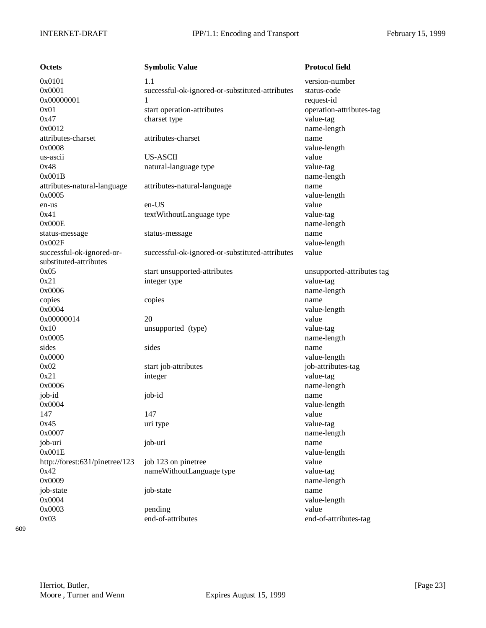| <b>Octets</b>                  | <b>Symbolic Value</b>                           | <b>Protocol field</b>      |
|--------------------------------|-------------------------------------------------|----------------------------|
| 0x0101                         | 1.1                                             | version-number             |
| 0x0001                         | successful-ok-ignored-or-substituted-attributes | status-code                |
| 0x00000001                     | 1                                               | request-id                 |
| 0x01                           | start operation-attributes                      | operation-attributes-tag   |
| 0x47                           | charset type                                    | value-tag                  |
| 0x0012                         |                                                 | name-length                |
| attributes-charset             | attributes-charset                              | name                       |
| 0x0008                         |                                                 | value-length               |
| us-ascii                       | <b>US-ASCII</b>                                 | value                      |
| 0x48                           | natural-language type                           | value-tag                  |
| 0x001B                         |                                                 | name-length                |
| attributes-natural-language    | attributes-natural-language                     | name                       |
| 0x0005                         |                                                 | value-length               |
| en-us                          | en-US                                           | value                      |
| 0x41                           | textWithoutLanguage type                        | value-tag                  |
| 0x000E                         |                                                 | name-length                |
| status-message                 | status-message                                  | name                       |
| 0x002F                         |                                                 | value-length               |
| successful-ok-ignored-or-      | successful-ok-ignored-or-substituted-attributes | value                      |
| substituted-attributes         |                                                 |                            |
| 0x05                           | start unsupported-attributes                    | unsupported-attributes tag |
| 0x21                           | integer type                                    | value-tag                  |
| 0x0006                         |                                                 | name-length                |
| copies                         | copies                                          | name                       |
| 0x0004                         |                                                 | value-length               |
| 0x00000014                     | 20                                              | value                      |
| 0x10                           | unsupported (type)                              | value-tag                  |
| 0x0005                         |                                                 | name-length                |
| sides                          | sides                                           | name                       |
| 0x0000                         |                                                 | value-length               |
| 0x02                           | start job-attributes                            | job-attributes-tag         |
| 0x21                           | integer                                         | value-tag                  |
| 0x0006                         |                                                 | name-length                |
| job-id                         | job-id                                          | name                       |
| 0x0004                         |                                                 | value-length               |
| 147                            | 147                                             | value                      |
| 0x45                           | uri type                                        | value-tag                  |
| 0x0007                         |                                                 | name-length                |
| job-uri                        | job-uri                                         | name                       |
| 0x001E                         |                                                 | value-length               |
| http://forest:631/pinetree/123 | job 123 on pinetree                             | value                      |
| 0x42                           | nameWithoutLanguage type                        | value-tag                  |
| 0x0009                         |                                                 | name-length                |
| job-state                      | job-state                                       | name                       |
| 0x0004                         |                                                 | value-length               |
| 0x0003                         | pending                                         | value                      |
| 0x03                           | end-of-attributes                               | end-of-attributes-tag      |

609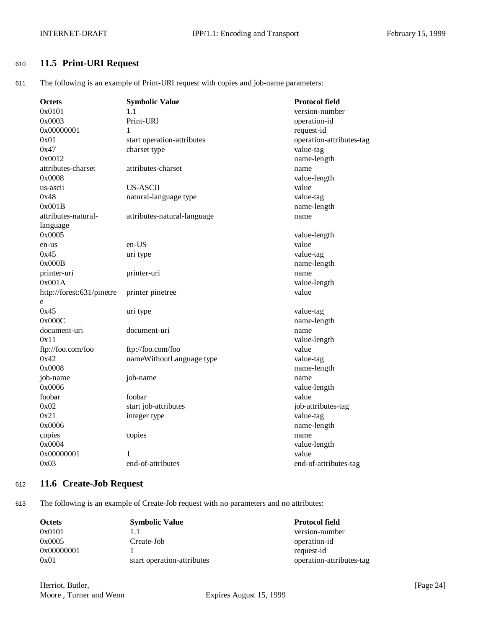### <sup>610</sup> **11.5 Print-URI Request**

611 The following is an example of Print-URI request with copies and job-name parameters:

| Octets                    | <b>Symbolic Value</b>       | <b>Protocol field</b>    |
|---------------------------|-----------------------------|--------------------------|
| 0x0101                    | 1.1                         | version-number           |
| 0x0003                    | Print-URI                   | operation-id             |
| 0x00000001                | 1                           | request-id               |
| 0x01                      | start operation-attributes  | operation-attributes-tag |
| 0x47                      | charset type                | value-tag                |
| 0x0012                    |                             | name-length              |
| attributes-charset        | attributes-charset          | name                     |
| 0x0008                    |                             | value-length             |
| us-ascii                  | <b>US-ASCII</b>             | value                    |
| 0x48                      | natural-language type       | value-tag                |
| 0x001B                    |                             | name-length              |
| attributes-natural-       | attributes-natural-language | name                     |
| language                  |                             |                          |
| 0x0005                    |                             | value-length             |
| en-us                     | en-US                       | value                    |
| 0x45                      | uri type                    | value-tag                |
| 0x000B                    |                             | name-length              |
| printer-uri               | printer-uri                 | name                     |
| 0x001A                    |                             | value-length             |
| http://forest:631/pinetre | printer pinetree            | value                    |
| e                         |                             |                          |
| 0x45                      | uri type                    | value-tag                |
| 0x000C                    |                             | name-length              |
| document-uri              | document-uri                | name                     |
| 0x11                      |                             | value-length             |
| ftp://foo.com/foo         | ftp://foo.com/foo           | value                    |
| 0x42                      | nameWithoutLanguage type    | value-tag                |
| 0x0008                    |                             | name-length              |
| job-name                  | job-name                    | name                     |
| 0x0006                    |                             | value-length             |
| foobar                    | foobar                      | value                    |
| 0x02                      | start job-attributes        | job-attributes-tag       |
| 0x21                      | integer type                | value-tag                |
| 0x0006                    |                             | name-length              |
| copies                    | copies                      | name                     |
| 0x0004                    |                             | value-length             |
| 0x00000001                |                             | value                    |
| 0x03                      | end-of-attributes           | end-of-attributes-tag    |

### <sup>612</sup> **11.6 Create-Job Request**

613 The following is an example of Create-Job request with no parameters and no attributes:

| <b>Octets</b> | <b>Symbolic Value</b>      | <b>Protocol field</b>    |
|---------------|----------------------------|--------------------------|
| 0x0101        |                            | version-number           |
| 0x0005        | Create-Job                 | operation-id             |
| 0x00000001    |                            | request-id               |
| 0x01          | start operation-attributes | operation-attributes-tag |

Herriot, Butler, [Page 24] Moore, Turner and Wenn Expires August 15, 1999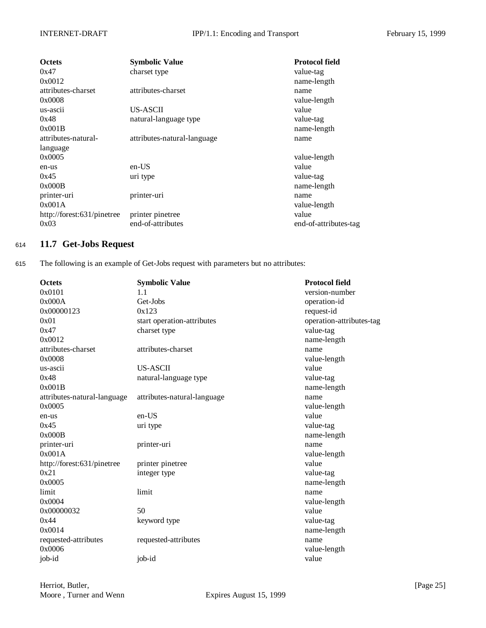| <b>Octets</b>              | <b>Symbolic Value</b>       | Protocol field        |
|----------------------------|-----------------------------|-----------------------|
| 0x47                       | charset type                | value-tag             |
| 0x0012                     |                             | name-length           |
| attributes-charset         | attributes-charset          | name                  |
| 0x0008                     |                             | value-length          |
| us-ascii                   | US-ASCII                    | value                 |
| 0x48                       | natural-language type       | value-tag             |
| 0x001B                     |                             | name-length           |
| attributes-natural-        | attributes-natural-language | name                  |
| language                   |                             |                       |
| 0x0005                     |                             | value-length          |
| en-us                      | en-US                       | value                 |
| 0x45                       | uri type                    | value-tag             |
| 0x000B                     |                             | name-length           |
| printer-uri                | printer-uri                 | name                  |
| 0x001A                     |                             | value-length          |
| http://forest:631/pinetree | printer pinetree            | value                 |
| 0x03                       | end-of-attributes           | end-of-attributes-tag |

### <sup>614</sup> **11.7 Get-Jobs Request**

615 The following is an example of Get-Jobs request with parameters but no attributes:

| <b>Octets</b>               | <b>Symbolic Value</b>       | <b>Protocol field</b>    |
|-----------------------------|-----------------------------|--------------------------|
| 0x0101                      | 1.1                         | version-number           |
| 0x000A                      | Get-Jobs                    | operation-id             |
| 0x00000123                  | 0x123                       | request-id               |
| 0x01                        | start operation-attributes  | operation-attributes-tag |
| 0x47                        | charset type                | value-tag                |
| 0x0012                      |                             | name-length              |
| attributes-charset          | attributes-charset          | name                     |
| 0x0008                      |                             | value-length             |
| us-ascii                    | US-ASCII                    | value                    |
| 0x48                        | natural-language type       | value-tag                |
| 0x001B                      |                             | name-length              |
| attributes-natural-language | attributes-natural-language | name                     |
| 0x0005                      |                             | value-length             |
| en-us                       | en-US                       | value                    |
| 0x45                        | uri type                    | value-tag                |
| 0x000B                      |                             | name-length              |
| printer-uri                 | printer-uri                 | name                     |
| 0x001A                      |                             | value-length             |
| http://forest:631/pinetree  | printer pinetree            | value                    |
| 0x21                        | integer type                | value-tag                |
| 0x0005                      |                             | name-length              |
| limit                       | limit                       | name                     |
| 0x0004                      |                             | value-length             |
| 0x00000032                  | 50                          | value                    |
| 0x44                        | keyword type                | value-tag                |
| 0x0014                      |                             | name-length              |
| requested-attributes        | requested-attributes        | name                     |
| 0x0006                      |                             | value-length             |
| job-id                      | job-id                      | value                    |
|                             |                             |                          |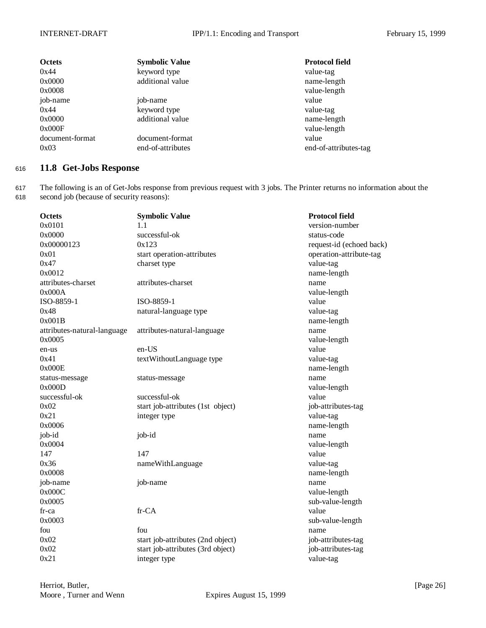| <b>Octets</b>   | <b>Symbolic Value</b> | <b>Protocol field</b> |
|-----------------|-----------------------|-----------------------|
| 0x44            | keyword type          | value-tag             |
| 0x0000          | additional value      | name-length           |
| 0x0008          |                       | value-length          |
| job-name        | job-name              | value                 |
| 0x44            | keyword type          | value-tag             |
| 0x0000          | additional value      | name-length           |
| 0x000F          |                       | value-length          |
| document-format | document-format       | value                 |
| 0x03            | end-of-attributes     | end-of-attributes-tag |

### <sup>616</sup> **11.8 Get-Jobs Response**

617 The following is an of Get-Jobs response from previous request with 3 jobs. The Printer returns no information about the 618 second job (because of security reasons):

| <b>Octets</b>               | <b>Symbolic Value</b>             | <b>Protocol field</b>    |
|-----------------------------|-----------------------------------|--------------------------|
| 0x0101                      | 1.1                               | version-number           |
| 0x0000                      | successful-ok                     | status-code              |
| 0x00000123                  | 0x123                             | request-id (echoed back) |
| 0x01                        | start operation-attributes        | operation-attribute-tag  |
| 0x47                        | charset type                      | value-tag                |
| 0x0012                      |                                   | name-length              |
| attributes-charset          | attributes-charset                | name                     |
| 0x000A                      |                                   | value-length             |
| ISO-8859-1                  | ISO-8859-1                        | value                    |
| 0x48                        | natural-language type             | value-tag                |
| 0x001B                      |                                   | name-length              |
| attributes-natural-language | attributes-natural-language       | name                     |
| 0x0005                      |                                   | value-length             |
| en-us                       | en-US                             | value                    |
| 0x41                        | textWithoutLanguage type          | value-tag                |
| 0x000E                      |                                   | name-length              |
| status-message              | status-message                    | name                     |
| 0x000D                      |                                   | value-length             |
| successful-ok               | successful-ok                     | value                    |
| 0x02                        | start job-attributes (1st object) | job-attributes-tag       |
| 0x21                        | integer type                      | value-tag                |
| 0x0006                      |                                   | name-length              |
| job-id                      | job-id                            | name                     |
| 0x0004                      |                                   | value-length             |
| 147                         | 147                               | value                    |
| 0x36                        | nameWithLanguage                  | value-tag                |
| 0x0008                      |                                   | name-length              |
| job-name                    | job-name                          | name                     |
| 0x000C                      |                                   | value-length             |
| 0x0005                      |                                   | sub-value-length         |
| fr-ca                       | fr-CA                             | value                    |
| 0x0003                      |                                   | sub-value-length         |
| fou                         | fou                               | name                     |
| 0x02                        | start job-attributes (2nd object) | job-attributes-tag       |
| 0x02                        | start job-attributes (3rd object) | job-attributes-tag       |
| 0x21                        | integer type                      | value-tag                |
|                             |                                   |                          |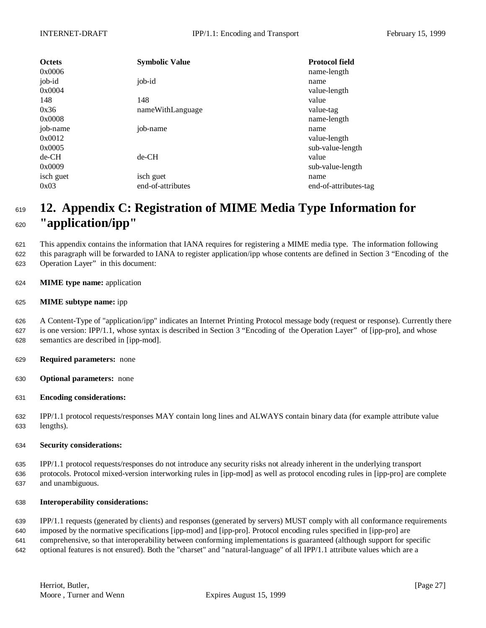| <b>Octets</b><br>0x0006 | <b>Symbolic Value</b> | <b>Protocol field</b><br>name-length |
|-------------------------|-----------------------|--------------------------------------|
| job-id<br>0x0004        | job-id                | name<br>value-length                 |
| 148                     | 148                   | value                                |
| 0x36                    | nameWithLanguage      | value-tag                            |
| 0x0008                  |                       | name-length                          |
| job-name                | job-name              | name                                 |
| 0x0012                  |                       | value-length                         |
| 0x0005                  |                       | sub-value-length                     |
| $de-CH$                 | $de-CH$               | value                                |
| 0x0009                  |                       | sub-value-length                     |
| isch guet               | isch guet             | name                                 |
| 0x03                    | end-of-attributes     | end-of-attributes-tag                |

## **12. Appendix C: Registration of MIME Media Type Information for "application/ipp"**

 This appendix contains the information that IANA requires for registering a MIME media type. The information following this paragraph will be forwarded to IANA to register application/ipp whose contents are defined in Section 3 "Encoding of the Operation Layer" in this document:

- **MIME type name:** application
- **MIME subtype name:** ipp

 A Content-Type of "application/ipp" indicates an Internet Printing Protocol message body (request or response). Currently there is one version: IPP/1.1, whose syntax is described in Section 3 "Encoding of the Operation Layer" of [ipp-pro], and whose semantics are described in [ipp-mod].

- **Required parameters:** none
- **Optional parameters:** none
- **Encoding considerations:**

 IPP/1.1 protocol requests/responses MAY contain long lines and ALWAYS contain binary data (for example attribute value lengths).

**Security considerations:**

 IPP/1.1 protocol requests/responses do not introduce any security risks not already inherent in the underlying transport protocols. Protocol mixed-version interworking rules in [ipp-mod] as well as protocol encoding rules in [ipp-pro] are complete and unambiguous.

#### **Interoperability considerations:**

 IPP/1.1 requests (generated by clients) and responses (generated by servers) MUST comply with all conformance requirements imposed by the normative specifications [ipp-mod] and [ipp-pro]. Protocol encoding rules specified in [ipp-pro] are comprehensive, so that interoperability between conforming implementations is guaranteed (although support for specific optional features is not ensured). Both the "charset" and "natural-language" of all IPP/1.1 attribute values which are a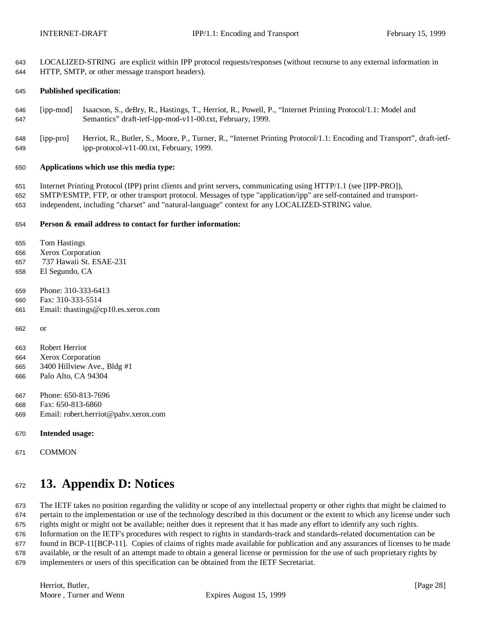LOCALIZED-STRING are explicit within IPP protocol requests/responses (without recourse to any external information in HTTP, SMTP, or other message transport headers).

#### **Published specification:**

- [ipp-mod] Isaacson, S., deBry, R., Hastings, T., Herriot, R., Powell, P., "Internet Printing Protocol/1.1: Model and Semantics" draft-ietf-ipp-mod-v11-00.txt, February, 1999.
- [ipp-pro] Herriot, R., Butler, S., Moore, P., Turner, R., "Internet Printing Protocol/1.1: Encoding and Transport", draft-ietf-ipp-protocol-v11-00.txt, February, 1999.

#### **Applications which use this media type:**

Internet Printing Protocol (IPP) print clients and print servers, communicating using HTTP/1.1 (see [IPP-PRO]),

 SMTP/ESMTP, FTP, or other transport protocol. Messages of type "application/ipp" are self-contained and transport-independent, including "charset" and "natural-language" context for any LOCALIZED-STRING value.

#### **Person & email address to contact for further information:**

Tom Hastings

- Xerox Corporation
- 737 Hawaii St. ESAE-231
- El Segundo, CA
- Phone: 310-333-6413
- Fax: 310-333-5514
- Email: thastings@cp10.es.xerox.com
- or
- Robert Herriot
- Xerox Corporation
- 3400 Hillview Ave., Bldg #1
- Palo Alto, CA 94304
- Phone: 650-813-7696
- Fax: 650-813-6860
- Email: robert.herriot@pahv.xerox.com
- **Intended usage:**
- COMMON

# **13. Appendix D: Notices**

 The IETF takes no position regarding the validity or scope of any intellectual property or other rights that might be claimed to pertain to the implementation or use of the technology described in this document or the extent to which any license under such rights might or might not be available; neither does it represent that it has made any effort to identify any such rights. Information on the IETF's procedures with respect to rights in standards-track and standards-related documentation can be found in BCP-11[BCP-11]. Copies of claims of rights made available for publication and any assurances of licenses to be made available, or the result of an attempt made to obtain a general license or permission for the use of such proprietary rights by implementers or users of this specification can be obtained from the IETF Secretariat.